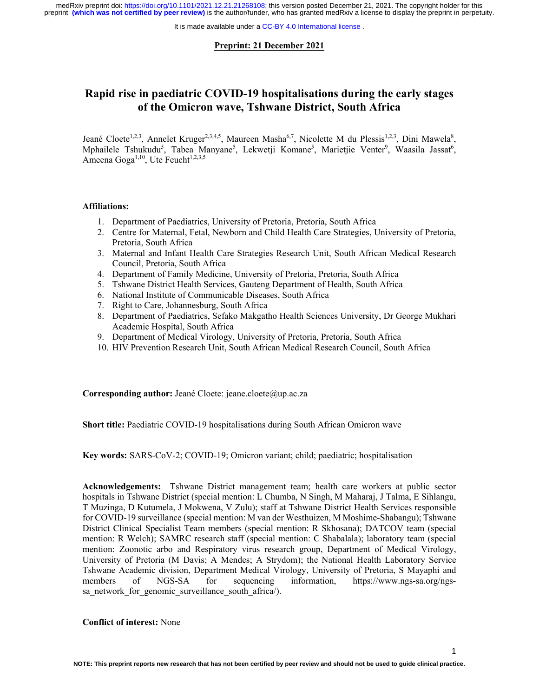It is made available under a CC-BY 4.0 International license.

# **Preprint: 21 December 2021**

# **Rapid rise in paediatric COVID-19 hospitalisations during the early stages of the Omicron wave, Tshwane District, South Africa**

Jeané Cloete<sup>1,2,3</sup>, Annelet Kruger<sup>2,3,4,5</sup>, Maureen Masha<sup>6,7</sup>, Nicolette M du Plessis<sup>1,2,3</sup>, Dini Mawela<sup>8</sup>, Mphailele Tshukudu<sup>5</sup>, Tabea Manyane<sup>5</sup>, Lekwetji Komane<sup>5</sup>, Marietjie Venter<sup>9</sup>, Waasila Jassat<sup>6</sup>, Ameena Goga<sup>1,10</sup>, Ute Feucht<sup>1,2,3,5</sup>

#### **Affiliations:**

- 1. Department of Paediatrics, University of Pretoria, Pretoria, South Africa
- 2. Centre for Maternal, Fetal, Newborn and Child Health Care Strategies, University of Pretoria, Pretoria, South Africa
- 3. Maternal and Infant Health Care Strategies Research Unit, South African Medical Research Council, Pretoria, South Africa
- 4. Department of Family Medicine, University of Pretoria, Pretoria, South Africa
- 5. Tshwane District Health Services, Gauteng Department of Health, South Africa
- 6. National Institute of Communicable Diseases, South Africa
- 7. Right to Care, Johannesburg, South Africa
- 8. Department of Paediatrics, Sefako Makgatho Health Sciences University, Dr George Mukhari Academic Hospital, South Africa
- 9. Department of Medical Virology, University of Pretoria, Pretoria, South Africa
- 10. HIV Prevention Research Unit, South African Medical Research Council, South Africa

# **Corresponding author:** Jeané Cloete: jeane.cloete@up.ac.za

**Short title:** Paediatric COVID-19 hospitalisations during South African Omicron wave

**Key words:** SARS-CoV-2; COVID-19; Omicron variant; child; paediatric; hospitalisation

**Acknowledgements:** Tshwane District management team; health care workers at public sector hospitals in Tshwane District (special mention: L Chumba, N Singh, M Maharaj, J Talma, E Sihlangu, T Muzinga, D Kutumela, J Mokwena, V Zulu); staff at Tshwane District Health Services responsible for COVID-19 surveillance (special mention: M van der Westhuizen, M Moshime-Shabangu); Tshwane District Clinical Specialist Team members (special mention: R Skhosana); DATCOV team (special mention: R Welch); SAMRC research staff (special mention: C Shabalala); laboratory team (special mention: Zoonotic arbo and Respiratory virus research group, Department of Medical Virology, University of Pretoria (M Davis; A Mendes; A Strydom); the National Health Laboratory Service Tshwane Academic division, Department Medical Virology, University of Pretoria, S Mayaphi and members of NGS-SA for sequencing information, https://www.ngs-sa.org/ngssa network for genomic surveillance south africa/).

# **Conflict of interest:** None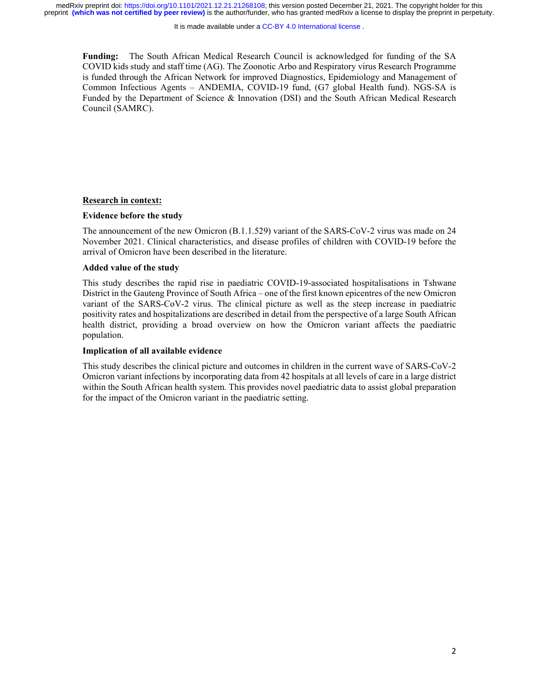It is made available under a CC-BY 4.0 International license.

**Funding:** The South African Medical Research Council is acknowledged for funding of the SA COVID kids study and staff time (AG). The Zoonotic Arbo and Respiratory virus Research Programme is funded through the African Network for improved Diagnostics, Epidemiology and Management of Common Infectious Agents – ANDEMIA, COVID-19 fund, (G7 global Health fund). NGS-SA is Funded by the Department of Science & Innovation (DSI) and the South African Medical Research Council (SAMRC).

# **Research in context:**

# **Evidence before the study**

The announcement of the new Omicron (B.1.1.529) variant of the SARS-CoV-2 virus was made on 24 November 2021. Clinical characteristics, and disease profiles of children with COVID-19 before the arrival of Omicron have been described in the literature.

# **Added value of the study**

This study describes the rapid rise in paediatric COVID-19-associated hospitalisations in Tshwane District in the Gauteng Province of South Africa – one of the first known epicentres of the new Omicron variant of the SARS-CoV-2 virus. The clinical picture as well as the steep increase in paediatric positivity rates and hospitalizations are described in detail from the perspective of a large South African health district, providing a broad overview on how the Omicron variant affects the paediatric population.

## **Implication of all available evidence**

This study describes the clinical picture and outcomes in children in the current wave of SARS-CoV-2 Omicron variant infections by incorporating data from 42 hospitals at all levels of care in a large district within the South African health system. This provides novel paediatric data to assist global preparation for the impact of the Omicron variant in the paediatric setting.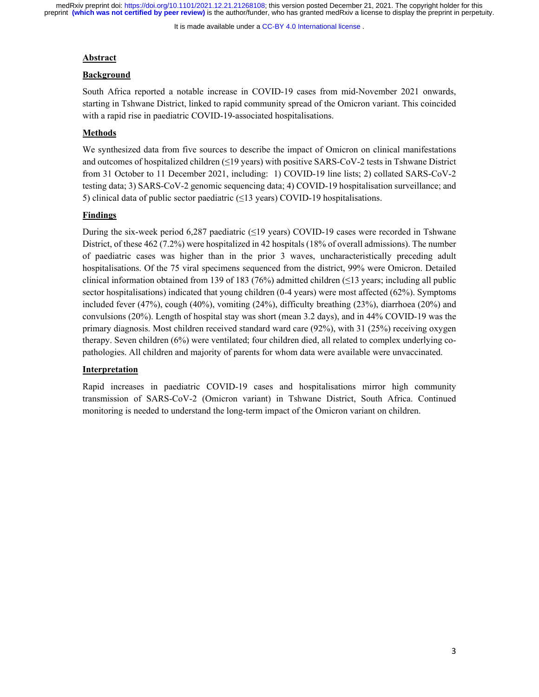It is made available under a CC-BY 4.0 International license.

#### **Abstract**

#### **Background**

South Africa reported a notable increase in COVID-19 cases from mid-November 2021 onwards, starting in Tshwane District, linked to rapid community spread of the Omicron variant. This coincided with a rapid rise in paediatric COVID-19-associated hospitalisations.

# **Methods**

We synthesized data from five sources to describe the impact of Omicron on clinical manifestations and outcomes of hospitalized children (≤19 years) with positive SARS-CoV-2 tests in Tshwane District from 31 October to 11 December 2021, including: 1) COVID-19 line lists; 2) collated SARS-CoV-2 testing data; 3) SARS-CoV-2 genomic sequencing data; 4) COVID-19 hospitalisation surveillance; and 5) clinical data of public sector paediatric  $(\leq 13 \text{ years})$  COVID-19 hospitalisations.

# **Findings**

During the six-week period 6,287 paediatric  $(\leq 19 \text{ years})$  COVID-19 cases were recorded in Tshwane District, of these 462 (7.2%) were hospitalized in 42 hospitals (18% of overall admissions). The number of paediatric cases was higher than in the prior 3 waves, uncharacteristically preceding adult hospitalisations. Of the 75 viral specimens sequenced from the district, 99% were Omicron. Detailed clinical information obtained from 139 of 183 (76%) admitted children ( $\leq$ 13 years; including all public sector hospitalisations) indicated that young children (0-4 years) were most affected (62%). Symptoms included fever (47%), cough (40%), vomiting (24%), difficulty breathing (23%), diarrhoea (20%) and convulsions (20%). Length of hospital stay was short (mean 3.2 days), and in 44% COVID-19 was the primary diagnosis. Most children received standard ward care (92%), with 31 (25%) receiving oxygen therapy. Seven children (6%) were ventilated; four children died, all related to complex underlying copathologies. All children and majority of parents for whom data were available were unvaccinated.

# **Interpretation**

Rapid increases in paediatric COVID-19 cases and hospitalisations mirror high community transmission of SARS-CoV-2 (Omicron variant) in Tshwane District, South Africa. Continued monitoring is needed to understand the long-term impact of the Omicron variant on children.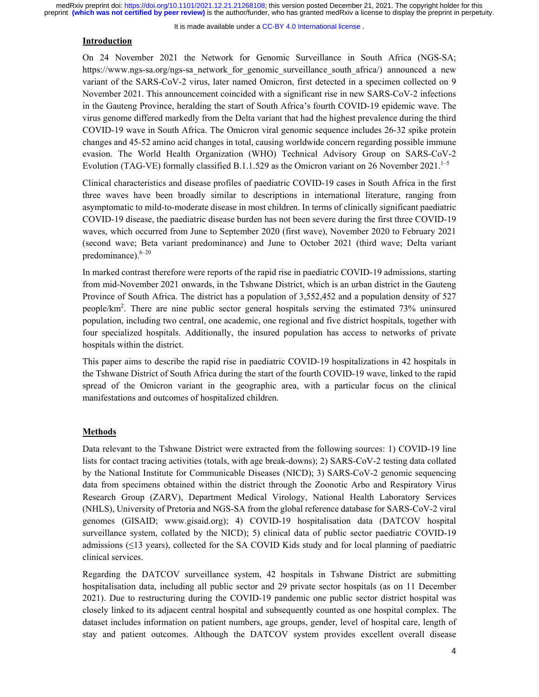It is made available under a CC-BY 4.0 International license.

# **Introduction**

On 24 November 2021 the Network for Genomic Surveillance in South Africa (NGS-SA; https://www.ngs-sa.org/ngs-sa\_network for genomic surveillance south africa/) announced a new variant of the SARS-CoV-2 virus, later named Omicron, first detected in a specimen collected on 9 November 2021. This announcement coincided with a significant rise in new SARS-CoV-2 infections in the Gauteng Province, heralding the start of South Africa's fourth COVID-19 epidemic wave. The virus genome differed markedly from the Delta variant that had the highest prevalence during the third COVID-19 wave in South Africa. The Omicron viral genomic sequence includes 26-32 spike protein changes and 45-52 amino acid changes in total, causing worldwide concern regarding possible immune evasion. The World Health Organization (WHO) Technical Advisory Group on SARS-CoV-2 Evolution (TAG-VE) formally classified B.1.1.529 as the Omicron variant on 26 November 2021.<sup>1–5</sup>

Clinical characteristics and disease profiles of paediatric COVID-19 cases in South Africa in the first three waves have been broadly similar to descriptions in international literature, ranging from asymptomatic to mild-to-moderate disease in most children. In terms of clinically significant paediatric COVID-19 disease, the paediatric disease burden has not been severe during the first three COVID-19 waves, which occurred from June to September 2020 (first wave), November 2020 to February 2021 (second wave; Beta variant predominance) and June to October 2021 (third wave; Delta variant predominance). $6-20$ 

In marked contrast therefore were reports of the rapid rise in paediatric COVID-19 admissions, starting from mid-November 2021 onwards, in the Tshwane District, which is an urban district in the Gauteng Province of South Africa. The district has a population of 3,552,452 and a population density of 527 people/km2 . There are nine public sector general hospitals serving the estimated 73% uninsured population, including two central, one academic, one regional and five district hospitals, together with four specialized hospitals. Additionally, the insured population has access to networks of private hospitals within the district.

This paper aims to describe the rapid rise in paediatric COVID-19 hospitalizations in 42 hospitals in the Tshwane District of South Africa during the start of the fourth COVID-19 wave, linked to the rapid spread of the Omicron variant in the geographic area, with a particular focus on the clinical manifestations and outcomes of hospitalized children.

# **Methods**

Data relevant to the Tshwane District were extracted from the following sources: 1) COVID-19 line lists for contact tracing activities (totals, with age break-downs); 2) SARS-CoV-2 testing data collated by the National Institute for Communicable Diseases (NICD); 3) SARS-CoV-2 genomic sequencing data from specimens obtained within the district through the Zoonotic Arbo and Respiratory Virus Research Group (ZARV), Department Medical Virology, National Health Laboratory Services (NHLS), University of Pretoria and NGS-SA from the global reference database for SARS-CoV-2 viral genomes (GISAID; www.gisaid.org); 4) COVID-19 hospitalisation data (DATCOV hospital surveillance system, collated by the NICD); 5) clinical data of public sector paediatric COVID-19 admissions  $(\leq)$  years), collected for the SA COVID Kids study and for local planning of paediatric clinical services.

Regarding the DATCOV surveillance system, 42 hospitals in Tshwane District are submitting hospitalisation data, including all public sector and 29 private sector hospitals (as on 11 December 2021). Due to restructuring during the COVID-19 pandemic one public sector district hospital was closely linked to its adjacent central hospital and subsequently counted as one hospital complex. The dataset includes information on patient numbers, age groups, gender, level of hospital care, length of stay and patient outcomes. Although the DATCOV system provides excellent overall disease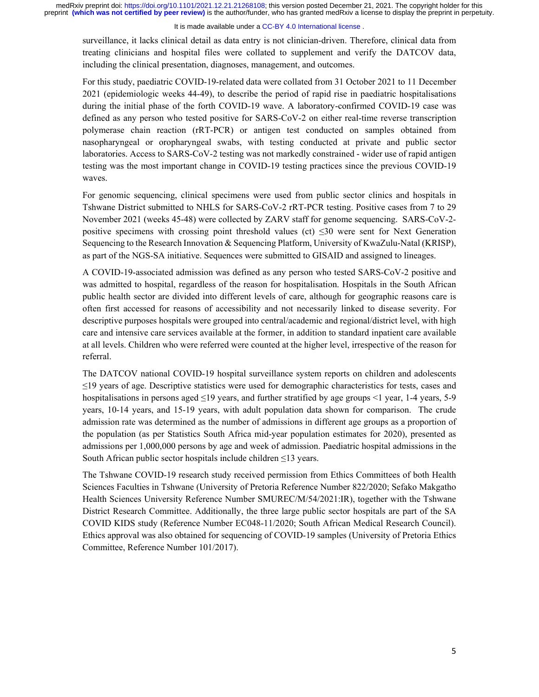## It is made available under a CC-BY 4.0 International license.

surveillance, it lacks clinical detail as data entry is not clinician-driven. Therefore, clinical data from treating clinicians and hospital files were collated to supplement and verify the DATCOV data, including the clinical presentation, diagnoses, management, and outcomes.

For this study, paediatric COVID-19-related data were collated from 31 October 2021 to 11 December 2021 (epidemiologic weeks 44-49), to describe the period of rapid rise in paediatric hospitalisations during the initial phase of the forth COVID-19 wave. A laboratory-confirmed COVID-19 case was defined as any person who tested positive for SARS-CoV-2 on either real-time reverse transcription polymerase chain reaction (rRT-PCR) or antigen test conducted on samples obtained from nasopharyngeal or oropharyngeal swabs, with testing conducted at private and public sector laboratories. Access to SARS-CoV-2 testing was not markedly constrained - wider use of rapid antigen testing was the most important change in COVID-19 testing practices since the previous COVID-19 waves.

For genomic sequencing, clinical specimens were used from public sector clinics and hospitals in Tshwane District submitted to NHLS for SARS-CoV-2 rRT-PCR testing. Positive cases from 7 to 29 November 2021 (weeks 45-48) were collected by ZARV staff for genome sequencing. SARS-CoV-2 positive specimens with crossing point threshold values (ct)  $\leq 30$  were sent for Next Generation Sequencing to the Research Innovation & Sequencing Platform, University of KwaZulu-Natal (KRISP), as part of the NGS-SA initiative. Sequences were submitted to GISAID and assigned to lineages.

A COVID-19-associated admission was defined as any person who tested SARS-CoV-2 positive and was admitted to hospital, regardless of the reason for hospitalisation. Hospitals in the South African public health sector are divided into different levels of care, although for geographic reasons care is often first accessed for reasons of accessibility and not necessarily linked to disease severity. For descriptive purposes hospitals were grouped into central/academic and regional/district level, with high care and intensive care services available at the former, in addition to standard inpatient care available at all levels. Children who were referred were counted at the higher level, irrespective of the reason for referral.

The DATCOV national COVID-19 hospital surveillance system reports on children and adolescents ≤19 years of age. Descriptive statistics were used for demographic characteristics for tests, cases and hospitalisations in persons aged  $\leq$ 19 years, and further stratified by age groups  $\leq$ 1 year, 1-4 years, 5-9 years, 10-14 years, and 15-19 years, with adult population data shown for comparison. The crude admission rate was determined as the number of admissions in different age groups as a proportion of the population (as per Statistics South Africa mid-year population estimates for 2020), presented as admissions per 1,000,000 persons by age and week of admission. Paediatric hospital admissions in the South African public sector hospitals include children ≤13 years.

The Tshwane COVID-19 research study received permission from Ethics Committees of both Health Sciences Faculties in Tshwane (University of Pretoria Reference Number 822/2020; Sefako Makgatho Health Sciences University Reference Number SMUREC/M/54/2021:IR), together with the Tshwane District Research Committee. Additionally, the three large public sector hospitals are part of the SA COVID KIDS study (Reference Number EC048-11/2020; South African Medical Research Council). Ethics approval was also obtained for sequencing of COVID-19 samples (University of Pretoria Ethics Committee, Reference Number 101/2017).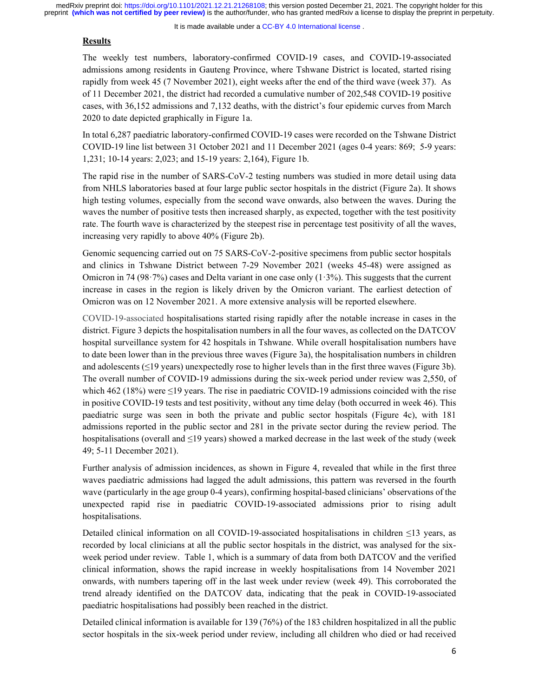It is made available under a CC-BY 4.0 International license.

# **Results**

The weekly test numbers, laboratory-confirmed COVID-19 cases, and COVID-19-associated admissions among residents in Gauteng Province, where Tshwane District is located, started rising rapidly from week 45 (7 November 2021), eight weeks after the end of the third wave (week 37). As of 11 December 2021, the district had recorded a cumulative number of 202,548 COVID-19 positive cases, with 36,152 admissions and 7,132 deaths, with the district's four epidemic curves from March 2020 to date depicted graphically in Figure 1a.

In total 6,287 paediatric laboratory-confirmed COVID-19 cases were recorded on the Tshwane District COVID-19 line list between 31 October 2021 and 11 December 2021 (ages 0-4 years: 869; 5-9 years: 1,231; 10-14 years: 2,023; and 15-19 years: 2,164), Figure 1b.

The rapid rise in the number of SARS-CoV-2 testing numbers was studied in more detail using data from NHLS laboratories based at four large public sector hospitals in the district (Figure 2a). It shows high testing volumes, especially from the second wave onwards, also between the waves. During the waves the number of positive tests then increased sharply, as expected, together with the test positivity rate. The fourth wave is characterized by the steepest rise in percentage test positivity of all the waves, increasing very rapidly to above 40% (Figure 2b).

Genomic sequencing carried out on 75 SARS-CoV-2-positive specimens from public sector hospitals and clinics in Tshwane District between 7-29 November 2021 (weeks 45-48) were assigned as Omicron in 74 (98.7%) cases and Delta variant in one case only  $(1.3\%)$ . This suggests that the current increase in cases in the region is likely driven by the Omicron variant. The earliest detection of Omicron was on 12 November 2021. A more extensive analysis will be reported elsewhere.

COVID-19-associated hospitalisations started rising rapidly after the notable increase in cases in the district. Figure 3 depicts the hospitalisation numbers in all the four waves, as collected on the DATCOV hospital surveillance system for 42 hospitals in Tshwane. While overall hospitalisation numbers have to date been lower than in the previous three waves (Figure 3a), the hospitalisation numbers in children and adolescents (≤19 years) unexpectedly rose to higher levels than in the first three waves (Figure 3b). The overall number of COVID-19 admissions during the six-week period under review was 2,550, of which 462 (18%) were  $\leq$ 19 years. The rise in paediatric COVID-19 admissions coincided with the rise in positive COVID-19 tests and test positivity, without any time delay (both occurred in week 46). This paediatric surge was seen in both the private and public sector hospitals (Figure 4c), with 181 admissions reported in the public sector and 281 in the private sector during the review period. The hospitalisations (overall and ≤19 years) showed a marked decrease in the last week of the study (week 49; 5-11 December 2021).

Further analysis of admission incidences, as shown in Figure 4, revealed that while in the first three waves paediatric admissions had lagged the adult admissions, this pattern was reversed in the fourth wave (particularly in the age group 0-4 years), confirming hospital-based clinicians' observations of the unexpected rapid rise in paediatric COVID-19-associated admissions prior to rising adult hospitalisations.

Detailed clinical information on all COVID-19-associated hospitalisations in children ≤13 years, as recorded by local clinicians at all the public sector hospitals in the district, was analysed for the sixweek period under review. Table 1, which is a summary of data from both DATCOV and the verified clinical information, shows the rapid increase in weekly hospitalisations from 14 November 2021 onwards, with numbers tapering off in the last week under review (week 49). This corroborated the trend already identified on the DATCOV data, indicating that the peak in COVID-19-associated paediatric hospitalisations had possibly been reached in the district.

Detailed clinical information is available for 139 (76%) of the 183 children hospitalized in all the public sector hospitals in the six-week period under review, including all children who died or had received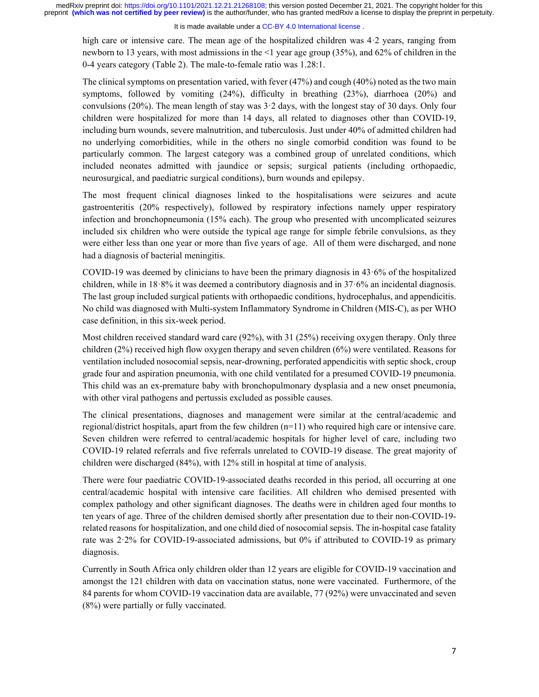# It is made available under a CC-BY 4.0 International license.

high care or intensive care. The mean age of the hospitalized children was 4.2 years, ranging from newborn to 13 years, with most admissions in the <1 year age group (35%), and 62% of children in the 0-4 years category (Table 2). The male-to-female ratio was 1.28:1.

The clinical symptoms on presentation varied, with fever (47%) and cough (40%) noted as the two main symptoms, followed by vomiting (24%), difficulty in breathing (23%), diarrhoea (20%) and convulsions (20%). The mean length of stay was  $3.2$  days, with the longest stay of 30 days. Only four children were hospitalized for more than 14 days, all related to diagnoses other than COVID-19, including burn wounds, severe malnutrition, and tuberculosis. Just under 40% of admitted children had no underlying comorbidities, while in the others no single comorbid condition was found to be particularly common. The largest category was a combined group of unrelated conditions, which included neonates admitted with jaundice or sepsis; surgical patients (including orthopaedic, neurosurgical, and paediatric surgical conditions), burn wounds and epilepsy.

The most frequent clinical diagnoses linked to the hospitalisations were seizures and acute gastroenteritis (20% respectively), followed by respiratory infections namely upper respiratory infection and bronchopneumonia (15% each). The group who presented with uncomplicated seizures included six children who were outside the typical age range for simple febrile convulsions, as they were either less than one year or more than five years of age. All of them were discharged, and none had a diagnosis of bacterial meningitis.

COVID-19 was deemed by clinicians to have been the primary diagnosis in 43·6% of the hospitalized children, while in 18·8% it was deemed a contributory diagnosis and in 37·6% an incidental diagnosis. The last group included surgical patients with orthopaedic conditions, hydrocephalus, and appendicitis. No child was diagnosed with Multi-system Inflammatory Syndrome in Children (MIS-C), as per WHO case definition, in this six-week period.

Most children received standard ward care (92%), with 31 (25%) receiving oxygen therapy. Only three children (2%) received high flow oxygen therapy and seven children (6%) were ventilated. Reasons for ventilation included nosocomial sepsis, near-drowning, perforated appendicitis with septic shock, croup grade four and aspiration pneumonia, with one child ventilated for a presumed COVID-19 pneumonia. This child was an ex-premature baby with bronchopulmonary dysplasia and a new onset pneumonia, with other viral pathogens and pertussis excluded as possible causes.

The clinical presentations, diagnoses and management were similar at the central/academic and regional/district hospitals, apart from the few children (n=11) who required high care or intensive care. Seven children were referred to central/academic hospitals for higher level of care, including two COVID-19 related referrals and five referrals unrelated to COVID-19 disease. The great majority of children were discharged (84%), with 12% still in hospital at time of analysis.

There were four paediatric COVID-19-associated deaths recorded in this period, all occurring at one central/academic hospital with intensive care facilities. All children who demised presented with complex pathology and other significant diagnoses. The deaths were in children aged four months to ten years of age. Three of the children demised shortly after presentation due to their non-COVID-19 related reasons for hospitalization, and one child died of nosocomial sepsis. The in-hospital case fatality rate was 2·2% for COVID-19-associated admissions, but 0% if attributed to COVID-19 as primary diagnosis.

Currently in South Africa only children older than 12 years are eligible for COVID-19 vaccination and amongst the 121 children with data on vaccination status, none were vaccinated. Furthermore, of the 84 parents for whom COVID-19 vaccination data are available, 77 (92%) were unvaccinated and seven (8%) were partially or fully vaccinated.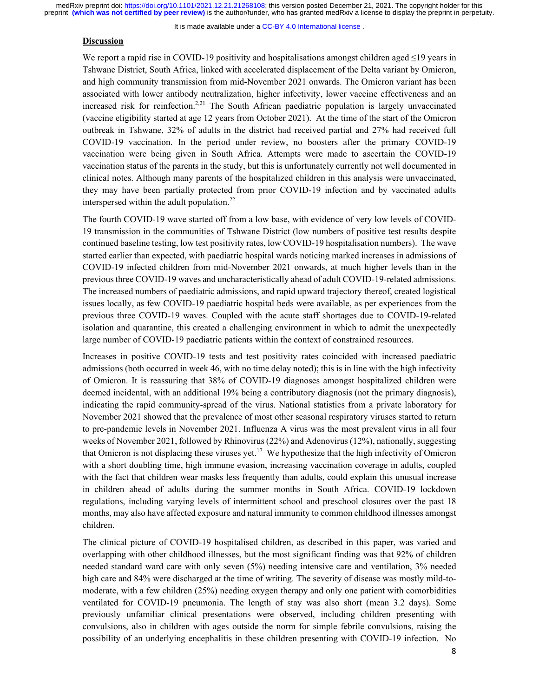It is made available under a CC-BY 4.0 International license.

# **Discussion**

We report a rapid rise in COVID-19 positivity and hospitalisations amongst children aged ≤19 years in Tshwane District, South Africa, linked with accelerated displacement of the Delta variant by Omicron, and high community transmission from mid-November 2021 onwards. The Omicron variant has been associated with lower antibody neutralization, higher infectivity, lower vaccine effectiveness and an increased risk for reinfection.<sup>2,21</sup> The South African paediatric population is largely unvaccinated (vaccine eligibility started at age 12 years from October 2021). At the time of the start of the Omicron outbreak in Tshwane, 32% of adults in the district had received partial and 27% had received full COVID-19 vaccination. In the period under review, no boosters after the primary COVID-19 vaccination were being given in South Africa. Attempts were made to ascertain the COVID-19 vaccination status of the parents in the study, but this is unfortunately currently not well documented in clinical notes. Although many parents of the hospitalized children in this analysis were unvaccinated, they may have been partially protected from prior COVID-19 infection and by vaccinated adults interspersed within the adult population.<sup>22</sup>

The fourth COVID-19 wave started off from a low base, with evidence of very low levels of COVID-19 transmission in the communities of Tshwane District (low numbers of positive test results despite continued baseline testing, low test positivity rates, low COVID-19 hospitalisation numbers). The wave started earlier than expected, with paediatric hospital wards noticing marked increases in admissions of COVID-19 infected children from mid-November 2021 onwards, at much higher levels than in the previous three COVID-19 waves and uncharacteristically ahead of adult COVID-19-related admissions. The increased numbers of paediatric admissions, and rapid upward trajectory thereof, created logistical issues locally, as few COVID-19 paediatric hospital beds were available, as per experiences from the previous three COVID-19 waves. Coupled with the acute staff shortages due to COVID-19-related isolation and quarantine, this created a challenging environment in which to admit the unexpectedly large number of COVID-19 paediatric patients within the context of constrained resources.

Increases in positive COVID-19 tests and test positivity rates coincided with increased paediatric admissions (both occurred in week 46, with no time delay noted); this is in line with the high infectivity of Omicron. It is reassuring that 38% of COVID-19 diagnoses amongst hospitalized children were deemed incidental, with an additional 19% being a contributory diagnosis (not the primary diagnosis), indicating the rapid community-spread of the virus. National statistics from a private laboratory for November 2021 showed that the prevalence of most other seasonal respiratory viruses started to return to pre-pandemic levels in November 2021. Influenza A virus was the most prevalent virus in all four weeks of November 2021, followed by Rhinovirus (22%) and Adenovirus (12%), nationally, suggesting that Omicron is not displacing these viruses yet.<sup>17</sup> We hypothesize that the high infectivity of Omicron with a short doubling time, high immune evasion, increasing vaccination coverage in adults, coupled with the fact that children wear masks less frequently than adults, could explain this unusual increase in children ahead of adults during the summer months in South Africa. COVID-19 lockdown regulations, including varying levels of intermittent school and preschool closures over the past 18 months, may also have affected exposure and natural immunity to common childhood illnesses amongst children.

The clinical picture of COVID-19 hospitalised children, as described in this paper, was varied and overlapping with other childhood illnesses, but the most significant finding was that 92% of children needed standard ward care with only seven (5%) needing intensive care and ventilation, 3% needed high care and 84% were discharged at the time of writing. The severity of disease was mostly mild-tomoderate, with a few children (25%) needing oxygen therapy and only one patient with comorbidities ventilated for COVID-19 pneumonia. The length of stay was also short (mean 3.2 days). Some previously unfamiliar clinical presentations were observed, including children presenting with convulsions, also in children with ages outside the norm for simple febrile convulsions, raising the possibility of an underlying encephalitis in these children presenting with COVID-19 infection. No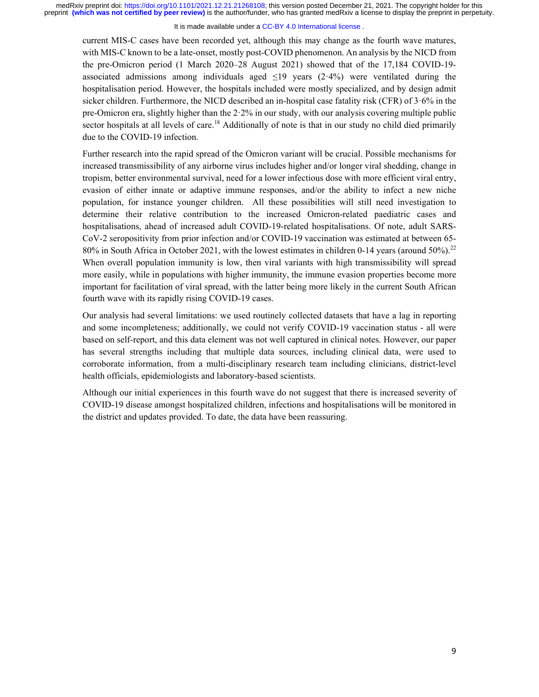It is made available under a CC-BY 4.0 International license.

current MIS-C cases have been recorded yet, although this may change as the fourth wave matures, with MIS-C known to be a late-onset, mostly post-COVID phenomenon. An analysis by the NICD from the pre-Omicron period (1 March 2020–28 August 2021) showed that of the 17,184 COVID-19 associated admissions among individuals aged  $\leq$ 19 years (2·4%) were ventilated during the hospitalisation period. However, the hospitals included were mostly specialized, and by design admit sicker children. Furthermore, the NICD described an in-hospital case fatality risk (CFR) of 3·6% in the pre-Omicron era, slightly higher than the 2·2% in our study, with our analysis covering multiple public sector hospitals at all levels of care.<sup>18</sup> Additionally of note is that in our study no child died primarily due to the COVID-19 infection.

Further research into the rapid spread of the Omicron variant will be crucial. Possible mechanisms for increased transmissibility of any airborne virus includes higher and/or longer viral shedding, change in tropism, better environmental survival, need for a lower infectious dose with more efficient viral entry, evasion of either innate or adaptive immune responses, and/or the ability to infect a new niche population, for instance younger children. All these possibilities will still need investigation to determine their relative contribution to the increased Omicron-related paediatric cases and hospitalisations, ahead of increased adult COVID-19-related hospitalisations. Of note, adult SARS-CoV-2 seropositivity from prior infection and/or COVID-19 vaccination was estimated at between 65- 80% in South Africa in October 2021, with the lowest estimates in children 0-14 years (around  $50\%$ ).<sup>22</sup> When overall population immunity is low, then viral variants with high transmissibility will spread more easily, while in populations with higher immunity, the immune evasion properties become more important for facilitation of viral spread, with the latter being more likely in the current South African fourth wave with its rapidly rising COVID-19 cases.

Our analysis had several limitations: we used routinely collected datasets that have a lag in reporting and some incompleteness; additionally, we could not verify COVID-19 vaccination status - all were based on self-report, and this data element was not well captured in clinical notes. However, our paper has several strengths including that multiple data sources, including clinical data, were used to corroborate information, from a multi-disciplinary research team including clinicians, district-level health officials, epidemiologists and laboratory-based scientists.

Although our initial experiences in this fourth wave do not suggest that there is increased severity of COVID-19 disease amongst hospitalized children, infections and hospitalisations will be monitored in the district and updates provided. To date, the data have been reassuring.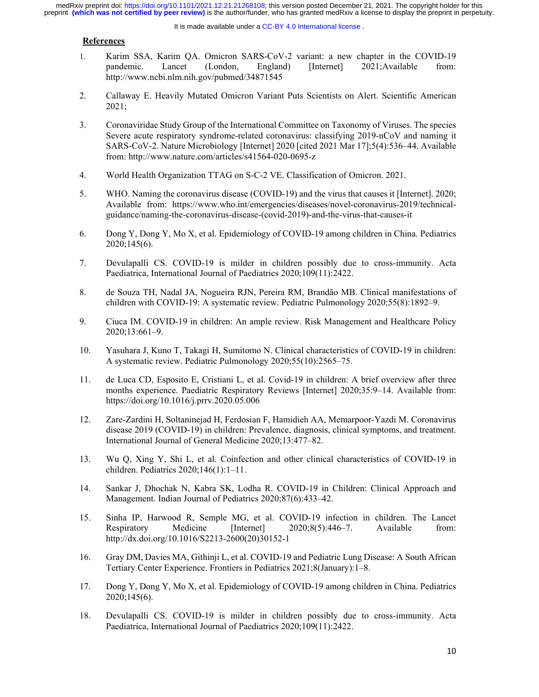#### It is made available under a CC-BY 4.0 International license.

## **References**

- 1. Karim SSA, Karim QA. Omicron SARS-CoV-2 variant: a new chapter in the COVID-19 pandemic. Lancet (London, England) [Internet] 2021;Available from: http://www.ncbi.nlm.nih.gov/pubmed/34871545
- 2. Callaway E. Heavily Mutated Omicron Variant Puts Scientists on Alert. Scientific American 2021;
- 3. Coronaviridae Study Group of the International Committee on Taxonomy of Viruses. The species Severe acute respiratory syndrome-related coronavirus: classifying 2019-nCoV and naming it SARS-CoV-2. Nature Microbiology [Internet] 2020 [cited 2021 Mar 17];5(4):536–44. Available from: http://www.nature.com/articles/s41564-020-0695-z
- 4. World Health Organization TTAG on S-C-2 VE. Classification of Omicron. 2021.
- 5. WHO. Naming the coronavirus disease (COVID-19) and the virus that causes it [Internet]. 2020; Available from: https://www.who.int/emergencies/diseases/novel-coronavirus-2019/technicalguidance/naming-the-coronavirus-disease-(covid-2019)-and-the-virus-that-causes-it
- 6. Dong Y, Dong Y, Mo X, et al. Epidemiology of COVID-19 among children in China. Pediatrics 2020;145(6).
- 7. Devulapalli CS. COVID-19 is milder in children possibly due to cross-immunity. Acta Paediatrica, International Journal of Paediatrics 2020;109(11):2422.
- 8. de Souza TH, Nadal JA, Nogueira RJN, Pereira RM, Brandão MB. Clinical manifestations of children with COVID-19: A systematic review. Pediatric Pulmonology 2020;55(8):1892–9.
- 9. Ciuca IM. COVID-19 in children: An ample review. Risk Management and Healthcare Policy 2020;13:661–9.
- 10. Yasuhara J, Kuno T, Takagi H, Sumitomo N. Clinical characteristics of COVID-19 in children: A systematic review. Pediatric Pulmonology 2020;55(10):2565–75.
- 11. de Luca CD, Esposito E, Cristiani L, et al. Covid-19 in children: A brief overview after three months experience. Paediatric Respiratory Reviews [Internet] 2020;35:9–14. Available from: https://doi.org/10.1016/j.prrv.2020.05.006
- 12. Zare-Zardini H, Soltaninejad H, Ferdosian F, Hamidieh AA, Memarpoor-Yazdi M. Coronavirus disease 2019 (COVID-19) in children: Prevalence, diagnosis, clinical symptoms, and treatment. International Journal of General Medicine 2020;13:477–82.
- 13. Wu Q, Xing Y, Shi L, et al. Coinfection and other clinical characteristics of COVID-19 in children. Pediatrics 2020;146(1):1–11.
- 14. Sankar J, Dhochak N, Kabra SK, Lodha R. COVID-19 in Children: Clinical Approach and Management. Indian Journal of Pediatrics 2020;87(6):433–42.
- 15. Sinha IP, Harwood R, Semple MG, et al. COVID-19 infection in children. The Lancet Respiratory Medicine [Internet] 2020;8(5):446–7. Available from: http://dx.doi.org/10.1016/S2213-2600(20)30152-1
- 16. Gray DM, Davies MA, Githinji L, et al. COVID-19 and Pediatric Lung Disease: A South African Tertiary Center Experience. Frontiers in Pediatrics 2021;8(January):1–8.
- 17. Dong Y, Dong Y, Mo X, et al. Epidemiology of COVID-19 among children in China. Pediatrics 2020;145(6).
- 18. Devulapalli CS. COVID-19 is milder in children possibly due to cross-immunity. Acta Paediatrica, International Journal of Paediatrics 2020;109(11):2422.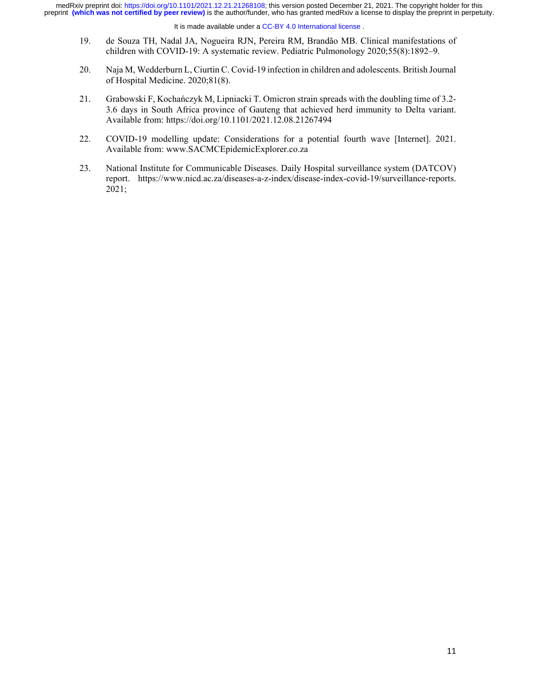#### It is made available under a CC-BY 4.0 International license.

- 19. de Souza TH, Nadal JA, Nogueira RJN, Pereira RM, Brandão MB. Clinical manifestations of children with COVID-19: A systematic review. Pediatric Pulmonology 2020;55(8):1892–9.
- 20. Naja M, Wedderburn L, Ciurtin C. Covid-19 infection in children and adolescents. British Journal of Hospital Medicine. 2020;81(8).
- 21. Grabowski F, Kochańczyk M, Lipniacki T. Omicron strain spreads with the doubling time of 3.2- 3.6 days in South Africa province of Gauteng that achieved herd immunity to Delta variant. Available from: https://doi.org/10.1101/2021.12.08.21267494
- 22. COVID-19 modelling update: Considerations for a potential fourth wave [Internet]. 2021. Available from: www.SACMCEpidemicExplorer.co.za
- 23. National Institute for Communicable Diseases. Daily Hospital surveillance system (DATCOV) report. https://www.nicd.ac.za/diseases-a-z-index/disease-index-covid-19/surveillance-reports. 2021;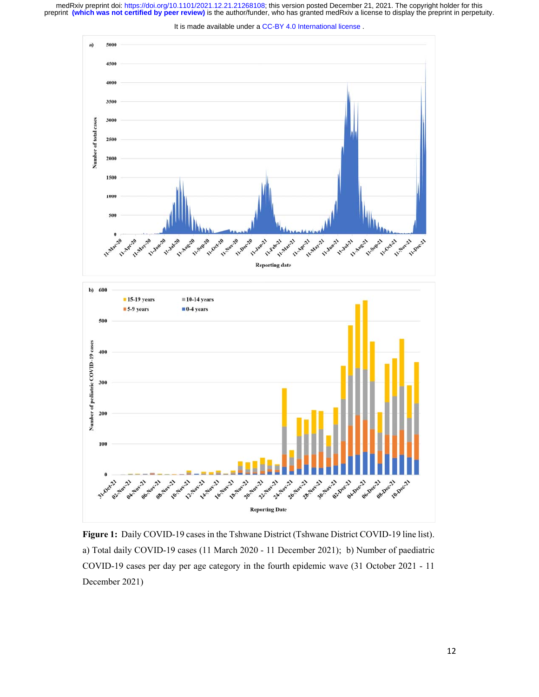



**Figure 1:** Daily COVID-19 cases in the Tshwane District (Tshwane District COVID-19 line list). a) Total daily COVID-19 cases (11 March 2020 - 11 December 2021); b) Number of paediatric COVID-19 cases per day per age category in the fourth epidemic wave (31 October 2021 - 11 December 2021)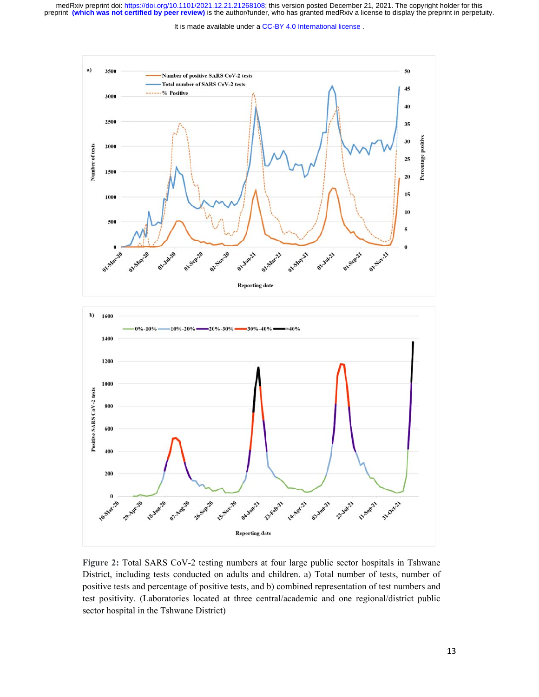It is made available under a [CC-BY 4.0 International license](http://creativecommons.org/licenses/by/4.0/) .



**Figure 2:** Total SARS CoV-2 testing numbers at four large public sector hospitals in Tshwane District, including tests conducted on adults and children. a) Total number of tests, number of positive tests and percentage of positive tests, and b) combined representation of test numbers and test positivity. (Laboratories located at three central/academic and one regional/district public sector hospital in the Tshwane District)

**Reporting date**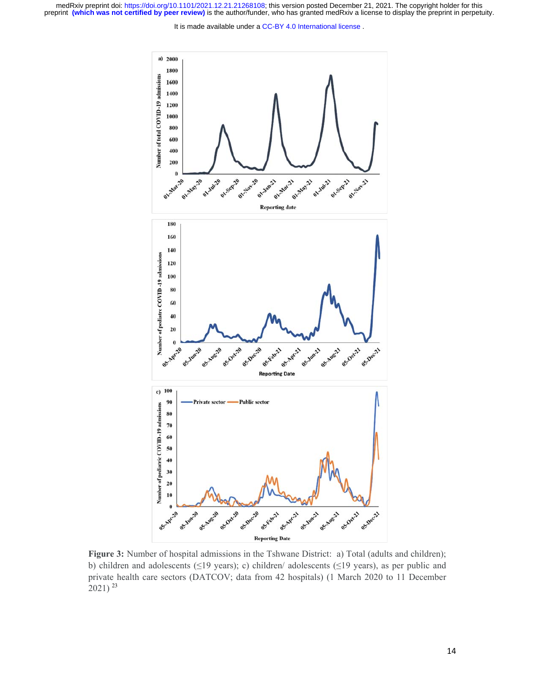It is made available under a [CC-BY 4.0 International license](http://creativecommons.org/licenses/by/4.0/) .



**Figure 3:** Number of hospital admissions in the Tshwane District: a) Total (adults and children); b) children and adolescents (≤19 years); c) children/ adolescents (≤19 years), as per public and private health care sectors (DATCOV; data from 42 hospitals) (1 March 2020 to 11 December 2021) <sup>23</sup>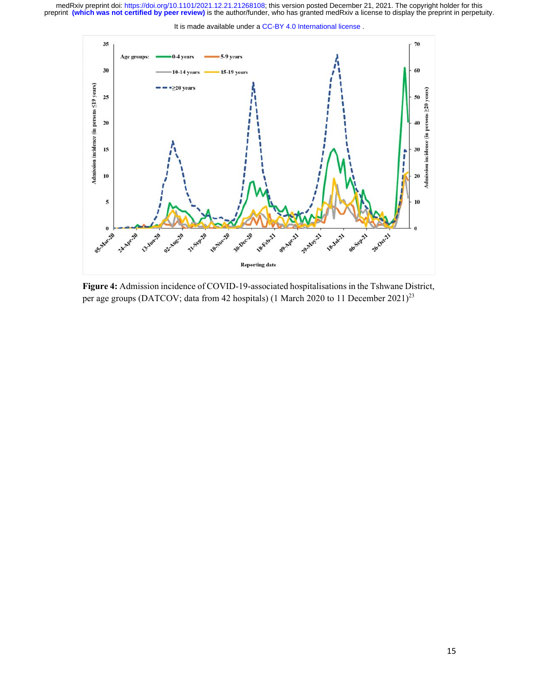



**Figure 4:** Admission incidence of COVID-19-associated hospitalisations in the Tshwane District, per age groups (DATCOV; data from 42 hospitals) (1 March 2020 to 11 December 2021)<sup>23</sup>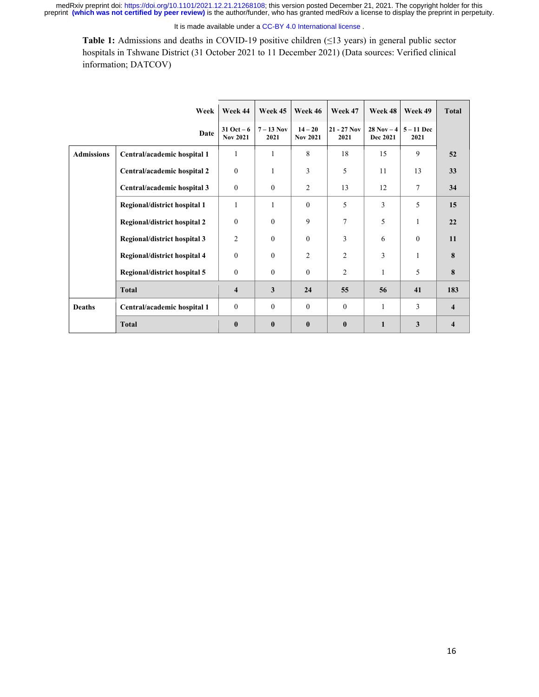It is made available under a CC-BY 4.0 International license.

**Table 1:** Admissions and deaths in COVID-19 positive children (≤13 years) in general public sector hospitals in Tshwane District (31 October 2021 to 11 December 2021) (Data sources: Verified clinical information; DATCOV)

|                   | Week                         | Week 44                          | Week 45            | Week 46                      | Week 47               | Week 48                   | Week 49            | <b>Total</b>            |
|-------------------|------------------------------|----------------------------------|--------------------|------------------------------|-----------------------|---------------------------|--------------------|-------------------------|
|                   | Date                         | $31$ Oct $-6$<br><b>Nov 2021</b> | $7-13$ Nov<br>2021 | $14 - 20$<br><b>Nov 2021</b> | $21 - 27$ Nov<br>2021 | $28$ Nov $-4$<br>Dec 2021 | $5-11$ Dec<br>2021 |                         |
| <b>Admissions</b> | Central/academic hospital 1  | 1                                | 1                  | 8                            | 18                    | 15                        | 9                  | 52                      |
|                   | Central/academic hospital 2  | $\mathbf{0}$                     | 1                  | 3                            | 5                     | 11                        | 13                 | 33                      |
|                   | Central/academic hospital 3  | $\boldsymbol{0}$                 | $\boldsymbol{0}$   | $\overline{c}$               | 13                    | 12                        | 7                  | 34                      |
|                   | Regional/district hospital 1 | 1                                | 1                  | $\theta$                     | 5                     | 3                         | 5                  | 15                      |
|                   | Regional/district hospital 2 | $\mathbf{0}$                     | $\mathbf{0}$       | 9                            | 7                     | 5                         | $\mathbf{1}$       | 22                      |
|                   | Regional/district hospital 3 | $\overline{2}$                   | $\theta$           | $\theta$                     | 3                     | 6                         | $\theta$           | 11                      |
|                   | Regional/district hospital 4 | $\theta$                         | $\theta$           | $\overline{c}$               | $\overline{2}$        | 3                         | $\mathbf{1}$       | 8                       |
|                   | Regional/district hospital 5 | $\mathbf{0}$                     | $\mathbf{0}$       | $\theta$                     | $\overline{2}$        | 1                         | 5                  | 8                       |
|                   | <b>Total</b>                 | 4                                | 3                  | 24                           | 55                    | 56                        | 41                 | 183                     |
| <b>Deaths</b>     | Central/academic hospital 1  | $\mathbf{0}$                     | $\mathbf{0}$       | $\theta$                     | $\theta$              | 1                         | 3                  | $\overline{\mathbf{4}}$ |
|                   | <b>Total</b>                 | $\bf{0}$                         | $\bf{0}$           | $\mathbf{0}$                 | $\mathbf{0}$          | $\mathbf{1}$              | 3                  | $\overline{\mathbf{4}}$ |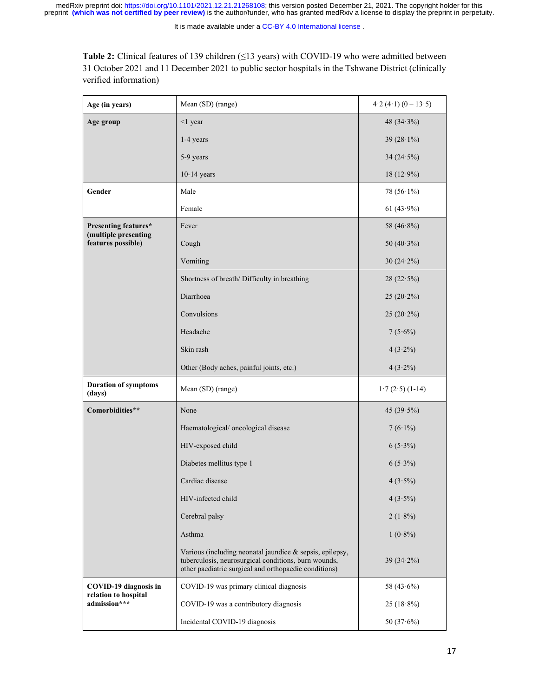**Table 2:** Clinical features of 139 children (≤13 years) with COVID-19 who were admitted between 31 October 2021 and 11 December 2021 to public sector hospitals in the Tshwane District (clinically verified information)

| Age (in years)                                | Mean (SD) (range)                                                                                                                                                         | $4.2(4.1)(0-13.5)$ |  |
|-----------------------------------------------|---------------------------------------------------------------------------------------------------------------------------------------------------------------------------|--------------------|--|
| Age group                                     | $<$ 1 year                                                                                                                                                                | 48 $(34.3\%)$      |  |
|                                               | 1-4 years                                                                                                                                                                 | 39 $(28.1\%)$      |  |
|                                               | 5-9 years                                                                                                                                                                 | 34 $(24.5\%)$      |  |
|                                               | $10-14$ years                                                                                                                                                             | $18(12.9\%)$       |  |
| Gender                                        | Male                                                                                                                                                                      | 78 $(56.1\%)$      |  |
|                                               | Female                                                                                                                                                                    | 61 $(43.9\%)$      |  |
| Presenting features*<br>(multiple presenting  | Fever                                                                                                                                                                     | 58 $(46.8\%)$      |  |
| features possible)                            | Cough                                                                                                                                                                     | 50 $(40.3\%)$      |  |
|                                               | Vomiting                                                                                                                                                                  | $30(24.2\%)$       |  |
|                                               | Shortness of breath/ Difficulty in breathing                                                                                                                              | 28(22.5%)          |  |
|                                               | Diarrhoea                                                                                                                                                                 | $25(20.2\%)$       |  |
|                                               | Convulsions                                                                                                                                                               | $25(20.2\%)$       |  |
|                                               | Headache                                                                                                                                                                  | $7(5.6\%)$         |  |
|                                               | Skin rash                                                                                                                                                                 | $4(3.2\%)$         |  |
|                                               | Other (Body aches, painful joints, etc.)                                                                                                                                  | $4(3.2\%)$         |  |
| <b>Duration of symptoms</b><br>(days)         | Mean (SD) (range)                                                                                                                                                         | $1.7(2.5)(1-14)$   |  |
| Comorbidities**                               | None                                                                                                                                                                      | 45 $(39.5\%)$      |  |
|                                               | Haematological/ oncological disease                                                                                                                                       | $7(6.1\%)$         |  |
|                                               | HIV-exposed child                                                                                                                                                         | $6(5.3\%)$         |  |
|                                               | Diabetes mellitus type 1                                                                                                                                                  | $6(5.3\%)$         |  |
|                                               | Cardiac disease                                                                                                                                                           | $4(3.5\%)$         |  |
|                                               | HIV-infected child                                                                                                                                                        | $4(3.5\%)$         |  |
|                                               | Cerebral palsy                                                                                                                                                            | $2(1.8\%)$         |  |
|                                               | Asthma                                                                                                                                                                    | $1(0.8\%)$         |  |
|                                               | Various (including neonatal jaundice & sepsis, epilepsy,<br>tuberculosis, neurosurgical conditions, burn wounds,<br>other paediatric surgical and orthopaedic conditions) | $39(34.2\%)$       |  |
| COVID-19 diagnosis in<br>relation to hospital | COVID-19 was primary clinical diagnosis                                                                                                                                   | 58 $(43.6\%)$      |  |
| admission***                                  | COVID-19 was a contributory diagnosis                                                                                                                                     | $25(18.8\%)$       |  |
|                                               | Incidental COVID-19 diagnosis                                                                                                                                             | 50 $(37.6%)$       |  |